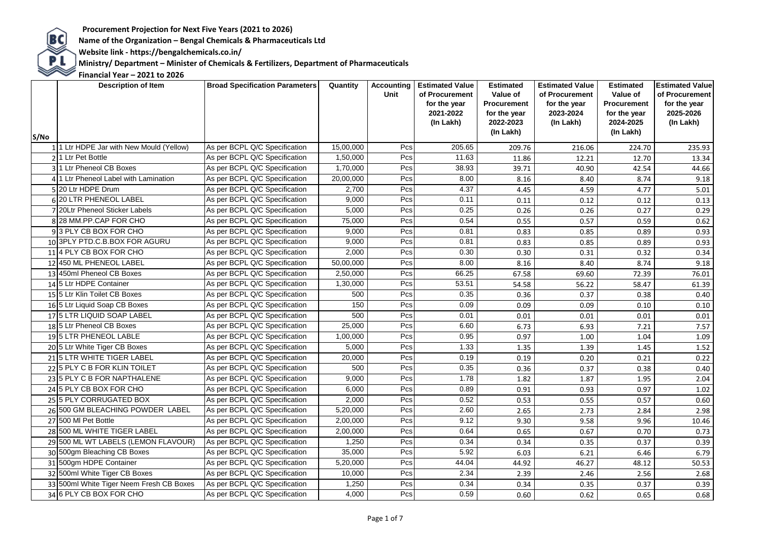**BC**<br>Name of the Organization – Bengal Chemicals & Pharmaceuticals Ltd<br>Website link - https://bengalchemicals.co.in/

 **Website link - https://bengalchemicals.co.in/**

**PL** Ministry/ Department – Minister of Chemicals & Fertilizers, Department of Pharmaceuticals<br>
Financial Year – 2021 to 2026

| S/No | <b>Description of Item</b>               | <b>Broad Specification Parameters</b> | Quantity  | Accounting<br>Unit | <b>Estimated Value</b><br>of Procurement<br>for the year<br>2021-2022<br>(In Lakh) | <b>Estimated</b><br>Value of<br><b>Procurement</b><br>for the year<br>2022-2023<br>(In Lakh) | <b>Estimated Value</b><br>of Procurement<br>for the year<br>2023-2024<br>(In Lakh) | <b>Estimated</b><br>Value of<br><b>Procurement</b><br>for the year<br>2024-2025<br>(In Lakh) | <b>Estimated Value</b><br>of Procurement<br>for the year<br>2025-2026<br>(In Lakh) |
|------|------------------------------------------|---------------------------------------|-----------|--------------------|------------------------------------------------------------------------------------|----------------------------------------------------------------------------------------------|------------------------------------------------------------------------------------|----------------------------------------------------------------------------------------------|------------------------------------------------------------------------------------|
|      | 1 1 Ltr HDPE Jar with New Mould (Yellow) | As per BCPL Q/C Specification         | 15,00,000 | Pcs                | 205.65                                                                             | 209.76                                                                                       | 216.06                                                                             | 224.70                                                                                       | 235.93                                                                             |
|      | 21 Ltr Pet Bottle                        | As per BCPL Q/C Specification         | 1,50,000  | Pcs                | 11.63                                                                              | 11.86                                                                                        | 12.21                                                                              | 12.70                                                                                        | 13.34                                                                              |
|      | 3 1 Ltr Pheneol CB Boxes                 | As per BCPL Q/C Specification         | 1,70,000  | Pcs                | 38.93                                                                              | 39.71                                                                                        | 40.90                                                                              | 42.54                                                                                        | 44.66                                                                              |
|      | 4 1 Ltr Pheneol Label with Lamination    | As per BCPL Q/C Specification         | 20,00,000 | Pcs                | 8.00                                                                               | 8.16                                                                                         | 8.40                                                                               | 8.74                                                                                         | 9.18                                                                               |
|      | 5 20 Ltr HDPE Drum                       | As per BCPL Q/C Specification         | 2,700     | Pcs                | 4.37                                                                               | 4.45                                                                                         | 4.59                                                                               | 4.77                                                                                         | 5.01                                                                               |
|      | 6 20 LTR PHENEOL LABEL                   | As per BCPL Q/C Specification         | 9,000     | Pcs                | 0.11                                                                               | 0.11                                                                                         | 0.12                                                                               | 0.12                                                                                         | 0.13                                                                               |
|      | 7 20Ltr Pheneol Sticker Labels           | As per BCPL Q/C Specification         | 5,000     | Pcs                | 0.25                                                                               | 0.26                                                                                         | 0.26                                                                               | 0.27                                                                                         | 0.29                                                                               |
|      | 8 28 MM.PP.CAP FOR CHO                   | As per BCPL Q/C Specification         | 75,000    | Pcs                | 0.54                                                                               | 0.55                                                                                         | 0.57                                                                               | 0.59                                                                                         | 0.62                                                                               |
|      | 93 PLY CB BOX FOR CHO                    | As per BCPL Q/C Specification         | 9,000     | Pcs                | 0.81                                                                               | 0.83                                                                                         | 0.85                                                                               | 0.89                                                                                         | 0.93                                                                               |
|      | 10 3PLY PTD.C.B.BOX FOR AGURU            | As per BCPL Q/C Specification         | 9,000     | Pcs                | 0.81                                                                               | 0.83                                                                                         | 0.85                                                                               | 0.89                                                                                         | 0.93                                                                               |
|      | 11 4 PLY CB BOX FOR CHO                  | As per BCPL Q/C Specification         | 2,000     | Pcs                | 0.30                                                                               | 0.30                                                                                         | 0.31                                                                               | 0.32                                                                                         | 0.34                                                                               |
|      | 12 450 ML PHENEOL LABEL                  | As per BCPL Q/C Specification         | 50,00,000 | Pcs                | 8.00                                                                               | 8.16                                                                                         | 8.40                                                                               | 8.74                                                                                         | 9.18                                                                               |
|      | 13 450ml Pheneol CB Boxes                | As per BCPL Q/C Specification         | 2,50,000  | Pcs                | 66.25                                                                              | 67.58                                                                                        | 69.60                                                                              | 72.39                                                                                        | 76.01                                                                              |
|      | 14 5 Ltr HDPE Container                  | As per BCPL Q/C Specification         | 1,30,000  | Pcs                | 53.51                                                                              | 54.58                                                                                        | 56.22                                                                              | 58.47                                                                                        | 61.39                                                                              |
|      | 15 5 Ltr Klin Toilet CB Boxes            | As per BCPL Q/C Specification         | 500       | Pcs                | 0.35                                                                               | 0.36                                                                                         | 0.37                                                                               | 0.38                                                                                         | 0.40                                                                               |
|      | 16 5 Ltr Liquid Soap CB Boxes            | As per BCPL Q/C Specification         | 150       | Pcs                | 0.09                                                                               | 0.09                                                                                         | 0.09                                                                               | 0.10                                                                                         | 0.10                                                                               |
|      | 17 5 LTR LIQUID SOAP LABEL               | As per BCPL Q/C Specification         | 500       | Pcs                | 0.01                                                                               | 0.01                                                                                         | 0.01                                                                               | 0.01                                                                                         | 0.01                                                                               |
|      | 185 Ltr Pheneol CB Boxes                 | As per BCPL Q/C Specification         | 25,000    | Pcs                | 6.60                                                                               | 6.73                                                                                         | 6.93                                                                               | 7.21                                                                                         | 7.57                                                                               |
|      | 19 5 LTR PHENEOL LABLE                   | As per BCPL Q/C Specification         | 1,00,000  | Pcs                | 0.95                                                                               | 0.97                                                                                         | 1.00                                                                               | 1.04                                                                                         | 1.09                                                                               |
|      | 20 5 Ltr White Tiger CB Boxes            | As per BCPL Q/C Specification         | 5,000     | Pcs                | 1.33                                                                               | 1.35                                                                                         | 1.39                                                                               | 1.45                                                                                         | 1.52                                                                               |
|      | 21 5 LTR WHITE TIGER LABEL               | As per BCPL Q/C Specification         | 20,000    | Pcs                | 0.19                                                                               | 0.19                                                                                         | 0.20                                                                               | 0.21                                                                                         | 0.22                                                                               |
|      | 22 5 PLY C B FOR KLIN TOILET             | As per BCPL Q/C Specification         | 500       | Pcs                | 0.35                                                                               | 0.36                                                                                         | 0.37                                                                               | 0.38                                                                                         | 0.40                                                                               |
|      | 23 5 PLY C B FOR NAPTHALENE              | As per BCPL Q/C Specification         | 9,000     | Pcs                | 1.78                                                                               | 1.82                                                                                         | 1.87                                                                               | 1.95                                                                                         | 2.04                                                                               |
|      | 24 5 PLY CB BOX FOR CHO                  | As per BCPL Q/C Specification         | 6,000     | Pcs                | 0.89                                                                               | 0.91                                                                                         | 0.93                                                                               | 0.97                                                                                         | 1.02                                                                               |
|      | 25 5 PLY CORRUGATED BOX                  | As per BCPL Q/C Specification         | 2,000     | Pcs                | 0.52                                                                               | 0.53                                                                                         | 0.55                                                                               | 0.57                                                                                         | 0.60                                                                               |
|      | 26 500 GM BLEACHING POWDER LABEL         | As per BCPL Q/C Specification         | 5,20,000  | Pcs                | 2.60                                                                               | 2.65                                                                                         | 2.73                                                                               | 2.84                                                                                         | 2.98                                                                               |
|      | 27 500 MI Pet Bottle                     | As per BCPL Q/C Specification         | 2,00,000  | Pcs                | 9.12                                                                               | 9.30                                                                                         | 9.58                                                                               | 9.96                                                                                         | 10.46                                                                              |
|      | 28 500 ML WHITE TIGER LABEL              | As per BCPL Q/C Specification         | 2,00,000  | Pcs                | 0.64                                                                               | 0.65                                                                                         | 0.67                                                                               | 0.70                                                                                         | 0.73                                                                               |
|      | 29 500 ML WT LABELS (LEMON FLAVOUR)      | As per BCPL Q/C Specification         | 1,250     | Pcs                | 0.34                                                                               | 0.34                                                                                         | 0.35                                                                               | 0.37                                                                                         | 0.39                                                                               |
|      | 30 500gm Bleaching CB Boxes              | As per BCPL Q/C Specification         | 35,000    | Pcs                | 5.92                                                                               | 6.03                                                                                         | 6.21                                                                               | 6.46                                                                                         | 6.79                                                                               |
|      | 31 500gm HDPE Container                  | As per BCPL Q/C Specification         | 5,20,000  | Pcs                | 44.04                                                                              | 44.92                                                                                        | 46.27                                                                              | 48.12                                                                                        | 50.53                                                                              |
|      | 32 500ml White Tiger CB Boxes            | As per BCPL Q/C Specification         | 10,000    | Pcs                | 2.34                                                                               | 2.39                                                                                         | 2.46                                                                               | 2.56                                                                                         | 2.68                                                                               |
|      | 33 500ml White Tiger Neem Fresh CB Boxes | As per BCPL Q/C Specification         | 1,250     | Pcs                | 0.34                                                                               | 0.34                                                                                         | 0.35                                                                               | 0.37                                                                                         | 0.39                                                                               |
|      | 34 6 PLY CB BOX FOR CHO                  | As per BCPL Q/C Specification         | 4,000     | Pcs                | 0.59                                                                               | 0.60                                                                                         | 0.62                                                                               | 0.65                                                                                         | 0.68                                                                               |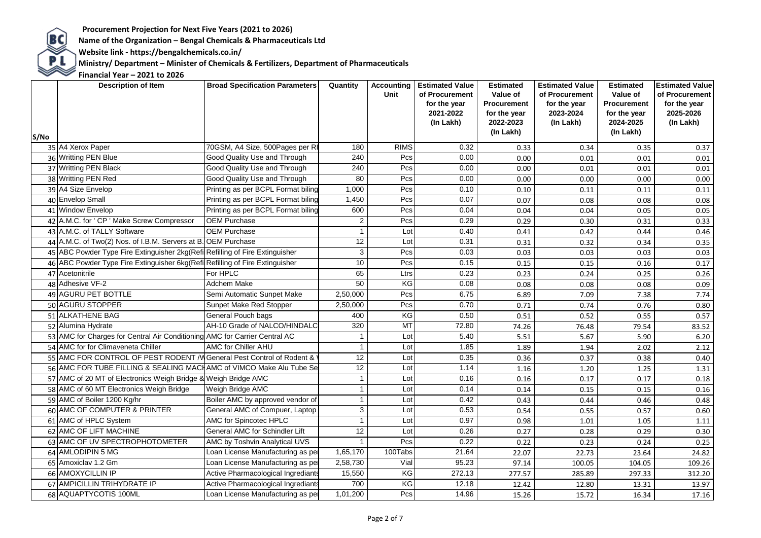**Website link - https://bengalchemicals.co.in/**

Procurement Projection for Next Five Years (2021 to 2026)<br>Name of the Organization – Bengal Chemicals & Pharmaceuticals Ltd<br>Website link - https://bengalchemicals.co.in/<br>Ministry/ Department – Minister of Chemicals & Ferti  **Ministry/ Department – Minister of Chemicals & Fertilizers, Department of Pharmaceuticals**

| S/No | <b>Description of Item</b>                                                    | <b>Broad Specification Parameters</b> | Quantity        | <b>Accounting</b><br>Unit | <b>Estimated Value</b><br>of Procurement<br>for the year<br>2021-2022<br>(In Lakh) | <b>Estimated</b><br>Value of<br>Procurement<br>for the year<br>2022-2023<br>(In Lakh) | <b>Estimated Value</b><br>of Procurement<br>for the year<br>2023-2024<br>(In Lakh) | <b>Estimated</b><br>Value of<br><b>Procurement</b><br>for the year<br>2024-2025<br>(In Lakh) | <b>Estimated Value</b><br>of Procurement<br>for the year<br>2025-2026<br>(In Lakh) |
|------|-------------------------------------------------------------------------------|---------------------------------------|-----------------|---------------------------|------------------------------------------------------------------------------------|---------------------------------------------------------------------------------------|------------------------------------------------------------------------------------|----------------------------------------------------------------------------------------------|------------------------------------------------------------------------------------|
|      | 35 A4 Xerox Paper                                                             | 70GSM, A4 Size, 500Pages per RI       | 180             | <b>RIMS</b>               | 0.32                                                                               | 0.33                                                                                  | 0.34                                                                               | 0.35                                                                                         | 0.37                                                                               |
|      | 36 Writting PEN Blue                                                          | Good Quality Use and Through          | 240             | Pcs                       | 0.00                                                                               | 0.00                                                                                  | 0.01                                                                               | 0.01                                                                                         | 0.01                                                                               |
|      | 37 Writting PEN Black                                                         | Good Quality Use and Through          | 240             | Pcs                       | 0.00                                                                               | 0.00                                                                                  | 0.01                                                                               | 0.01                                                                                         | 0.01                                                                               |
|      | 38 Writting PEN Red                                                           | Good Quality Use and Through          | 80              | Pcs                       | 0.00                                                                               | 0.00                                                                                  | 0.00                                                                               | 0.00                                                                                         | 0.00                                                                               |
|      | 39 A4 Size Envelop                                                            | Printing as per BCPL Format biling    | 1,000           | Pcs                       | 0.10                                                                               | 0.10                                                                                  | 0.11                                                                               | 0.11                                                                                         | 0.11                                                                               |
|      | 40 Envelop Small                                                              | Printing as per BCPL Format biling    | 1,450           | Pcs                       | 0.07                                                                               | 0.07                                                                                  | 0.08                                                                               | 0.08                                                                                         | 0.08                                                                               |
|      | 41 Window Envelop                                                             | Printing as per BCPL Format biling    | 600             | Pcs                       | 0.04                                                                               | 0.04                                                                                  | 0.04                                                                               | 0.05                                                                                         | 0.05                                                                               |
|      | 42 A.M.C. for ' CP ' Make Screw Compressor                                    | <b>OEM Purchase</b>                   | $\overline{a}$  | Pcs                       | 0.29                                                                               | 0.29                                                                                  | 0.30                                                                               | 0.31                                                                                         | 0.33                                                                               |
|      | 43 A.M.C. of TALLY Software                                                   | <b>OEM Purchase</b>                   | $\mathbf{1}$    | Lot                       | 0.40                                                                               | 0.41                                                                                  | 0.42                                                                               | 0.44                                                                                         | 0.46                                                                               |
|      | 44 A.M.C. of Two(2) Nos. of I.B.M. Servers at B. OEM Purchase                 |                                       | 12              | Lot                       | 0.31                                                                               | 0.31                                                                                  | 0.32                                                                               | 0.34                                                                                         | 0.35                                                                               |
|      | 45 ABC Powder Type Fire Extinguisher 2kg(Refil Refilling of Fire Extinguisher |                                       | 3               | Pcs                       | 0.03                                                                               | 0.03                                                                                  | 0.03                                                                               | 0.03                                                                                         | 0.03                                                                               |
|      | 46 ABC Powder Type Fire Extinguisher 6kg(Refil Refilling of Fire Extinguisher |                                       | 10              | Pcs                       | 0.15                                                                               | 0.15                                                                                  | 0.15                                                                               | 0.16                                                                                         | 0.17                                                                               |
|      | 47 Acetonitrile                                                               | For HPLC                              | 65              | Ltrs                      | 0.23                                                                               | 0.23                                                                                  | 0.24                                                                               | 0.25                                                                                         | 0.26                                                                               |
|      | 48 Adhesive VF-2                                                              | Adchem Make                           | 50              | KG                        | 0.08                                                                               | 0.08                                                                                  | 0.08                                                                               | 0.08                                                                                         | 0.09                                                                               |
|      | 49 AGURU PET BOTTLE                                                           | Semi Automatic Sunpet Make            | 2,50,000        | Pcs                       | 6.75                                                                               | 6.89                                                                                  | 7.09                                                                               | 7.38                                                                                         | 7.74                                                                               |
|      | 50 AGURU STOPPER                                                              | Sunpet Make Red Stopper               | 2,50,000        | Pcs                       | 0.70                                                                               | 0.71                                                                                  | 0.74                                                                               | 0.76                                                                                         | 0.80                                                                               |
|      | 51 ALKATHENE BAG                                                              | General Pouch bags                    | 400             | KG                        | 0.50                                                                               | 0.51                                                                                  | 0.52                                                                               | 0.55                                                                                         | 0.57                                                                               |
|      | 52 Alumina Hydrate                                                            | AH-10 Grade of NALCO/HINDALC          | 320             | MT                        | 72.80                                                                              | 74.26                                                                                 | 76.48                                                                              | 79.54                                                                                        | 83.52                                                                              |
|      | 53 AMC for Charges for Central Air Conditioning AMC for Carrier Central AC    |                                       | $\mathbf{1}$    | Lot                       | 5.40                                                                               | 5.51                                                                                  | 5.67                                                                               | 5.90                                                                                         | 6.20                                                                               |
|      | 54 AMC for for Climaveneta Chiller                                            | AMC for Chiller AHU                   | $\mathbf{1}$    | Lot                       | 1.85                                                                               | 1.89                                                                                  | 1.94                                                                               | 2.02                                                                                         | 2.12                                                                               |
|      | 55 AMC FOR CONTROL OF PEST RODENT / WGeneral Pest Control of Rodent &         |                                       | $\overline{12}$ | Lot                       | 0.35                                                                               | 0.36                                                                                  | 0.37                                                                               | 0.38                                                                                         | 0.40                                                                               |
|      | 56 AMC FOR TUBE FILLING & SEALING MACHAMC of VIMCO Make Alu Tube Se           |                                       | 12              | Lot                       | 1.14                                                                               | 1.16                                                                                  | 1.20                                                                               | 1.25                                                                                         | 1.31                                                                               |
|      | 57 AMC of 20 MT of Electronics Weigh Bridge & Weigh Bridge AMC                |                                       | $\mathbf{1}$    | Lot                       | 0.16                                                                               | 0.16                                                                                  | 0.17                                                                               | 0.17                                                                                         | 0.18                                                                               |
|      | 58 AMC of 60 MT Electronics Weigh Bridge                                      | Weigh Bridge AMC                      | $\mathbf{1}$    | Lot                       | 0.14                                                                               | 0.14                                                                                  | 0.15                                                                               | 0.15                                                                                         | 0.16                                                                               |
|      | 59 AMC of Boiler 1200 Kg/hr                                                   | Boiler AMC by approved vendor of      | $\mathbf{1}$    | Lot                       | 0.42                                                                               | 0.43                                                                                  | 0.44                                                                               | 0.46                                                                                         | 0.48                                                                               |
|      | 60 AMC OF COMPUTER & PRINTER                                                  | General AMC of Compuer, Laptop        | 3               | Lot                       | 0.53                                                                               | 0.54                                                                                  | 0.55                                                                               | 0.57                                                                                         | 0.60                                                                               |
|      | 61 AMC of HPLC System                                                         | AMC for Spincotec HPLC                | $\mathbf{1}$    | Lot                       | 0.97                                                                               | 0.98                                                                                  | 1.01                                                                               | 1.05                                                                                         | 1.11                                                                               |
|      | 62 AMC OF LIFT MACHINE                                                        | General AMC for Schindler Lift        | 12              | Lot                       | 0.26                                                                               | 0.27                                                                                  | 0.28                                                                               | 0.29                                                                                         | 0.30                                                                               |
|      | 63 AMC OF UV SPECTROPHOTOMETER                                                | AMC by Toshvin Analytical UVS         | $\mathbf{1}$    | Pcs                       | 0.22                                                                               | 0.22                                                                                  | 0.23                                                                               | 0.24                                                                                         | 0.25                                                                               |
|      | 64 AMLODIPIN 5 MG                                                             | Loan License Manufacturing as per     | 1,65,170        | 100Tabs                   | 21.64                                                                              | 22.07                                                                                 | 22.73                                                                              | 23.64                                                                                        | 24.82                                                                              |
|      | 65 Amoxiclav 1.2 Gm                                                           | Loan License Manufacturing as per     | 2,58,730        | Vial                      | 95.23                                                                              | 97.14                                                                                 | 100.05                                                                             | 104.05                                                                                       | 109.26                                                                             |
|      | 66 AMOXYCILLIN IP                                                             | Active Pharmacological Ingrediants    | 15,550          | KG                        | 272.13                                                                             | 277.57                                                                                | 285.89                                                                             | 297.33                                                                                       | 312.20                                                                             |
|      | 67 AMPICILLIN TRIHYDRATE IP                                                   | Active Pharmacological Ingrediants    | 700             | KG                        | 12.18                                                                              | 12.42                                                                                 | 12.80                                                                              | 13.31                                                                                        | 13.97                                                                              |
|      | 68 AQUAPTYCOTIS 100ML                                                         | Loan License Manufacturing as per     | 1,01,200        | Pcs                       | 14.96                                                                              | 15.26                                                                                 | 15.72                                                                              | 16.34                                                                                        | 17.16                                                                              |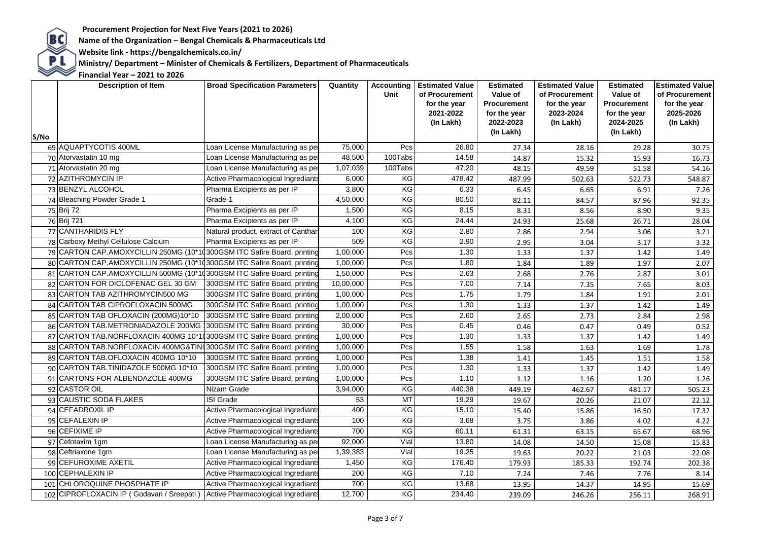**BC**<br>Name of the Organization – Bengal Chemicals & Pharmaceuticals Ltd<br>Website link - https://bengalchemicals.co.in/

 **Website link - https://bengalchemicals.co.in/**

**PL** Ministry/ Department – Minister of Chemicals & Fertilizers, Department of Pharmaceuticals<br>
Financial Year – 2021 to 2026

|      | <b>Description of Item</b>                                              | <b>Broad Specification Parameters</b> | Quantity  | Accounting<br>Unit   | <b>Estimated Value</b><br>of Procurement<br>for the year<br>2021-2022<br>(In Lakh) | Estimated<br>Value of<br>Procurement<br>for the year<br>2022-2023<br>(In Lakh) | <b>Estimated Value</b><br>of Procurement<br>for the year<br>2023-2024<br>(In Lakh) | <b>Estimated</b><br>Value of<br><b>Procurement</b><br>for the year<br>2024-2025<br>(In Lakh) | <b>Estimated Value</b><br>of Procurement<br>for the year<br>2025-2026<br>(In Lakh) |
|------|-------------------------------------------------------------------------|---------------------------------------|-----------|----------------------|------------------------------------------------------------------------------------|--------------------------------------------------------------------------------|------------------------------------------------------------------------------------|----------------------------------------------------------------------------------------------|------------------------------------------------------------------------------------|
| S/No | 69 AQUAPTYCOTIS 400ML                                                   | Loan License Manufacturing as pei     | 75,000    | Pcs                  | 26.80                                                                              | 27.34                                                                          | 28.16                                                                              | 29.28                                                                                        | 30.75                                                                              |
|      | 70 Atorvastatin 10 mg                                                   | Loan License Manufacturing as per     | 48,500    | 100Tabs              | 14.58                                                                              | 14.87                                                                          | 15.32                                                                              | 15.93                                                                                        | 16.73                                                                              |
|      | 71 Atorvastatin 20 mg                                                   | Loan License Manufacturing as per     | 1,07,039  | 100Tabs              | 47.20                                                                              | 48.15                                                                          | 49.59                                                                              | 51.58                                                                                        | 54.16                                                                              |
|      | 72 AZITHROMYCIN IP                                                      | Active Pharmacological Ingrediants    | 6,000     | KG                   | 478.42                                                                             | 487.99                                                                         | 502.63                                                                             | 522.73                                                                                       | 548.87                                                                             |
|      | 73 BENZYL ALCOHOL                                                       | Pharma Excipients as per IP           | 3,800     | KG                   | 6.33                                                                               | 6.45                                                                           | 6.65                                                                               | 6.91                                                                                         | 7.26                                                                               |
|      | 74 Bleaching Powder Grade 1                                             | Grade-1                               | 4,50,000  | KG                   | 80.50                                                                              | 82.11                                                                          | 84.57                                                                              | 87.96                                                                                        | 92.35                                                                              |
|      | 75 Brij 72                                                              | Pharma Excipients as per IP           | 1,500     | KG                   | 8.15                                                                               | 8.31                                                                           | 8.56                                                                               | 8.90                                                                                         | 9.35                                                                               |
|      | 76 Brij 721                                                             | Pharma Excipients as per IP           | 4,100     | KG                   | 24.44                                                                              | 24.93                                                                          | 25.68                                                                              | 26.71                                                                                        | 28.04                                                                              |
|      | 77 CANTHARIDIS FLY                                                      | Natural product, extract of Canthar   | 100       | KG                   | 2.80                                                                               | 2.86                                                                           | 2.94                                                                               | 3.06                                                                                         | 3.21                                                                               |
|      | 78 Carboxy Methyl Cellulose Calcium                                     | Pharma Excipients as per IP           | 509       | KG                   | 2.90                                                                               | 2.95                                                                           | 3.04                                                                               | 3.17                                                                                         | 3.32                                                                               |
|      | 79 CARTON CAP.AMOXYCILLIN 250MG (10*10300GSM ITC Safire Board, printing |                                       | 1,00,000  | Pcs                  | 1.30                                                                               | 1.33                                                                           | 1.37                                                                               | 1.42                                                                                         | 1.49                                                                               |
|      | 80 CARTON CAP.AMOXYCILLIN 250MG (10*10300GSM ITC Safire Board, printing |                                       | 1,00,000  | Pcs                  | 1.80                                                                               | 1.84                                                                           | 1.89                                                                               | 1.97                                                                                         | 2.07                                                                               |
|      | 81 CARTON CAP.AMOXYCILLIN 500MG (10*10300GSM ITC Safire Board, printing |                                       | 1,50,000  | Pcs                  | 2.63                                                                               | 2.68                                                                           | 2.76                                                                               | 2.87                                                                                         | 3.01                                                                               |
|      | 82 CARTON FOR DICLOFENAC GEL 30 GM                                      | 300GSM ITC Safire Board, printing     | 10,00,000 | Pcs                  | 7.00                                                                               | 7.14                                                                           | 7.35                                                                               | 7.65                                                                                         | 8.03                                                                               |
|      | 83 CARTON TAB AZITHROMYCIN500 MG                                        | 300GSM ITC Safire Board, printing     | 1,00,000  | Pcs                  | 1.75                                                                               | 1.79                                                                           | 1.84                                                                               | 1.91                                                                                         | 2.01                                                                               |
|      | 84 CARTON TAB CIPROFLOXACIN 500MG                                       | 300GSM ITC Safire Board, printing     | 1,00,000  | Pcs                  | 1.30                                                                               | 1.33                                                                           | 1.37                                                                               | 1.42                                                                                         | 1.49                                                                               |
|      | 85 CARTON TAB OFLOXACIN (200MG)10*10                                    | 300GSM ITC Safire Board, printing     | 2,00,000  | Pcs                  | 2.60                                                                               | 2.65                                                                           | 2.73                                                                               | 2.84                                                                                         | 2.98                                                                               |
|      | 86 CARTON TAB.METRONIADAZOLE 200MG                                      | 300GSM ITC Safire Board, printing     | 30,000    | Pcs                  | 0.45                                                                               | 0.46                                                                           | 0.47                                                                               | 0.49                                                                                         | 0.52                                                                               |
|      | 87 CARTON TAB.NORFLOXACIN 400MG 10*1(300GSM ITC Safire Board, printing  |                                       | 1,00,000  | Pcs                  | 1.30                                                                               | 1.33                                                                           | 1.37                                                                               | 1.42                                                                                         | 1.49                                                                               |
|      | 88 CARTON TAB.NORFLOXACIN 400MG&TINI 300GSM ITC Safire Board, printing  |                                       | 1,00,000  | Pcs                  | 1.55                                                                               | 1.58                                                                           | 1.63                                                                               | 1.69                                                                                         | 1.78                                                                               |
|      | 89 CARTON TAB.OFLOXACIN 400MG 10*10                                     | 300GSM ITC Safire Board, printing     | 1,00,000  | Pcs                  | 1.38                                                                               | 1.41                                                                           | 1.45                                                                               | 1.51                                                                                         | 1.58                                                                               |
|      | 90 CARTON TAB.TINIDAZOLE 500MG 10*10                                    | 300GSM ITC Safire Board, printing     | 1,00,000  | Pcs                  | 1.30                                                                               | 1.33                                                                           | 1.37                                                                               | 1.42                                                                                         | 1.49                                                                               |
|      | 91 CARTONS FOR ALBENDAZOLE 400MG                                        | 300GSM ITC Safire Board, printing     | 1,00,000  | Pcs                  | 1.10                                                                               | 1.12                                                                           | 1.16                                                                               | 1.20                                                                                         | 1.26                                                                               |
|      | 92 CASTOR OIL                                                           | Nizam Grade                           | 3,94,000  | KG                   | 440.38                                                                             | 449.19                                                                         | 462.67                                                                             | 481.17                                                                                       | 505.23                                                                             |
|      | 93 CAUSTIC SODA FLAKES                                                  | <b>ISI Grade</b>                      | 53        | MT                   | 19.29                                                                              | 19.67                                                                          | 20.26                                                                              | 21.07                                                                                        | 22.12                                                                              |
|      | 94 CEFADROXIL IP                                                        | Active Pharmacological Ingrediants    | 400       | KG                   | 15.10                                                                              | 15.40                                                                          | 15.86                                                                              | 16.50                                                                                        | 17.32                                                                              |
|      | 95 CEFALEXIN IP                                                         | Active Pharmacological Ingrediants    | 100       | KG                   | 3.68                                                                               | 3.75                                                                           | 3.86                                                                               | 4.02                                                                                         | 4.22                                                                               |
|      | 96 CEFIXIME IP                                                          | Active Pharmacological Ingrediants    | 700       | KG                   | 60.11                                                                              | 61.31                                                                          | 63.15                                                                              | 65.67                                                                                        | 68.96                                                                              |
|      | 97 Cefotaxim 1gm                                                        | Loan License Manufacturing as pei     | 92,000    | Vial                 | 13.80                                                                              | 14.08                                                                          | 14.50                                                                              | 15.08                                                                                        | 15.83                                                                              |
|      | 98 Ceftriaxone 1gm                                                      | Loan License Manufacturing as per     | 1,39,383  | Vial                 | 19.25                                                                              | 19.63                                                                          | 20.22                                                                              | 21.03                                                                                        | 22.08                                                                              |
|      | 99 CEFUROXIME AXETIL                                                    | Active Pharmacological Ingrediants    | 1,450     | KG                   | 176.40                                                                             | 179.93                                                                         | 185.33                                                                             | 192.74                                                                                       | 202.38                                                                             |
|      | 100 CEPHALEXIN IP                                                       | Active Pharmacological Ingrediants    | 200       | KG                   | 7.10                                                                               | 7.24                                                                           | 7.46                                                                               | 7.76                                                                                         | 8.14                                                                               |
|      | 101 CHLOROQUINE PHOSPHATE IP                                            | Active Pharmacological Ingrediants    | 700       | KG<br>$\overline{6}$ | 13.68                                                                              | 13.95                                                                          | 14.37                                                                              | 14.95                                                                                        | 15.69                                                                              |
|      | 102 CIPROFLOXACIN IP (Godavari / Sreepati)                              | Active Pharmacological Ingrediants    | 12,700    |                      | 234.40                                                                             | 239.09                                                                         | 246.26                                                                             | 256.11                                                                                       | 268.91                                                                             |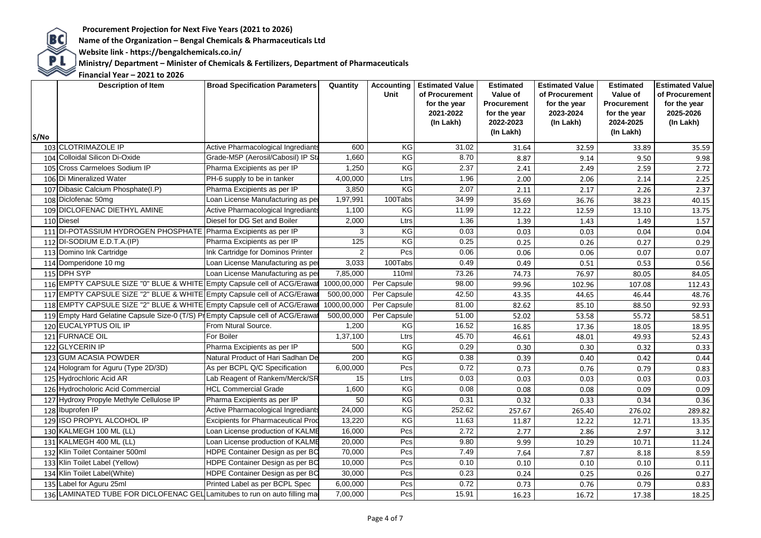**BC**<br>Name of the Organization – Bengal Chemicals & Pharmaceuticals Ltd<br>Website link - https://bengalchemicals.co.in/

 **Website link - https://bengalchemicals.co.in/**

**PL** Ministry/ Department – Minister of Chemicals & Fertilizers, Department of Pharmaceuticals<br>
Financial Year – 2021 to 2026

| S/No | <b>Description of Item</b>                                                       | <b>Broad Specification Parameters</b>     | Quantity    | Unit        | <b>Accounting   Estimated Value</b><br>of Procurement<br>for the year<br>2021-2022<br>(In Lakh) | <b>Estimated</b><br>Value of<br><b>Procurement</b><br>for the year<br>2022-2023<br>(In Lakh) | <b>Estimated Value</b><br>of Procurement<br>for the year<br>2023-2024<br>(In Lakh) | <b>Estimated</b><br>Value of<br><b>Procurement</b><br>for the year<br>2024-2025<br>(In Lakh) | <b>Estimated Value</b><br>of Procurement<br>for the year<br>2025-2026<br>(In Lakh) |
|------|----------------------------------------------------------------------------------|-------------------------------------------|-------------|-------------|-------------------------------------------------------------------------------------------------|----------------------------------------------------------------------------------------------|------------------------------------------------------------------------------------|----------------------------------------------------------------------------------------------|------------------------------------------------------------------------------------|
|      | 103 CLOTRIMAZOLE IP                                                              | Active Pharmacological Ingrediants        | 600         | KG          | 31.02                                                                                           | 31.64                                                                                        | 32.59                                                                              | 33.89                                                                                        | 35.59                                                                              |
|      | 104 Colloidal Silicon Di-Oxide                                                   | Grade-M5P (Aerosil/Cabosil) IP Sta        | 1,660       | KG          | 8.70                                                                                            | 8.87                                                                                         | 9.14                                                                               | 9.50                                                                                         | 9.98                                                                               |
|      | 105 Cross Carmeloes Sodium IP                                                    | Pharma Excipients as per IP               | 1,250       | KG          | 2.37                                                                                            | 2.41                                                                                         | 2.49                                                                               | 2.59                                                                                         | 2.72                                                                               |
|      | 106 Di Mineralized Water                                                         | PH-6 supply to be in tanker               | 4,00,000    | Ltrs        | 1.96                                                                                            | 2.00                                                                                         | 2.06                                                                               | 2.14                                                                                         | 2.25                                                                               |
|      | 107 Dibasic Calcium Phosphate(I.P)                                               | Pharma Excipients as per IP               | 3,850       | KG          | 2.07                                                                                            | 2.11                                                                                         | 2.17                                                                               | 2.26                                                                                         | 2.37                                                                               |
|      | 108 Diclofenac 50mg                                                              | Loan License Manufacturing as per         | 1,97,991    | 100Tabs     | 34.99                                                                                           | 35.69                                                                                        | 36.76                                                                              | 38.23                                                                                        | 40.15                                                                              |
|      | 109 DICLOFENAC DIETHYL AMINE                                                     | Active Pharmacological Ingrediants        | 1,100       | KG          | 11.99                                                                                           | 12.22                                                                                        | 12.59                                                                              | 13.10                                                                                        | 13.75                                                                              |
|      | 110 Diesel                                                                       | Diesel for DG Set and Boiler              | 2,000       | Ltrs        | 1.36                                                                                            | 1.39                                                                                         | 1.43                                                                               | 1.49                                                                                         | 1.57                                                                               |
|      | 111 DI-POTASSIUM HYDROGEN PHOSPHATE Pharma Excipients as per IP                  |                                           | 3           | KG          | 0.03                                                                                            | 0.03                                                                                         | 0.03                                                                               | 0.04                                                                                         | 0.04                                                                               |
|      | 112 DI-SODIUM E.D.T.A. (IP)                                                      | Pharma Excipients as per IP               | 125         | KG          | 0.25                                                                                            | 0.25                                                                                         | 0.26                                                                               | 0.27                                                                                         | 0.29                                                                               |
|      | 113 Domino Ink Cartridge                                                         | Ink Cartridge for Dominos Printer         | 2           | Pcs         | 0.06                                                                                            | 0.06                                                                                         | 0.06                                                                               | 0.07                                                                                         | 0.07                                                                               |
|      | 114 Domperidone 10 mg                                                            | Loan License Manufacturing as per         | 3,033       | 100Tabs     | 0.49                                                                                            | 0.49                                                                                         | 0.51                                                                               | 0.53                                                                                         | 0.56                                                                               |
|      | 115 DPH SYP                                                                      | Loan License Manufacturing as per         | 7,85,000    | 110ml       | 73.26                                                                                           | 74.73                                                                                        | 76.97                                                                              | 80.05                                                                                        | 84.05                                                                              |
|      | 116 EMPTY CAPSULE SIZE "0" BLUE & WHITE Empty Capsule cell of ACG/Erawat         |                                           | 1000,00,000 | Per Capsule | 98.00                                                                                           | 99.96                                                                                        | 102.96                                                                             | 107.08                                                                                       | 112.43                                                                             |
|      | 117 EMPTY CAPSULE SIZE "2" BLUE & WHITE Empty Capsule cell of ACG/Erawa          |                                           | 500,00,000  | Per Capsule | 42.50                                                                                           | 43.35                                                                                        | 44.65                                                                              | 46.44                                                                                        | 48.76                                                                              |
|      | 118 EMPTY CAPSULE SIZE "2" BLUE & WHITE Empty Capsule cell of ACG/Erawa          |                                           | 1000,00,000 | Per Capsule | 81.00                                                                                           | 82.62                                                                                        | 85.10                                                                              | 88.50                                                                                        | 92.93                                                                              |
|      | 119 Empty Hard Gelatine Capsule Size-0 (T/S) Pr Empty Capsule cell of ACG/Erawat |                                           | 500,00,000  | Per Capsule | 51.00                                                                                           | 52.02                                                                                        | 53.58                                                                              | 55.72                                                                                        | 58.51                                                                              |
|      | 120 EUCALYPTUS OIL IP                                                            | From Ntural Source.                       | 1,200       | KG          | 16.52                                                                                           | 16.85                                                                                        | 17.36                                                                              | 18.05                                                                                        | 18.95                                                                              |
|      | 121 FURNACE OIL                                                                  | For Boiler                                | 1,37,100    | Ltrs        | 45.70                                                                                           | 46.61                                                                                        | 48.01                                                                              | 49.93                                                                                        | 52.43                                                                              |
|      | 122 GLYCERIN IP                                                                  | Pharma Excipients as per IP               | 500         | KG          | 0.29                                                                                            | 0.30                                                                                         | 0.30                                                                               | 0.32                                                                                         | 0.33                                                                               |
|      | 123 GUM ACASIA POWDER                                                            | Natural Product of Hari Sadhan De         | 200         | KG          | 0.38                                                                                            | 0.39                                                                                         | 0.40                                                                               | 0.42                                                                                         | 0.44                                                                               |
|      | 124 Hologram for Aguru (Type 2D/3D)                                              | As per BCPL Q/C Specification             | 6,00,000    | Pcs         | 0.72                                                                                            | 0.73                                                                                         | 0.76                                                                               | 0.79                                                                                         | 0.83                                                                               |
|      | 125 Hydrochloric Acid AR                                                         | Lab Reagent of Rankem/Merck/SR            | 15          | Ltrs        | 0.03                                                                                            | 0.03                                                                                         | 0.03                                                                               | 0.03                                                                                         | 0.03                                                                               |
|      | 126 Hydrocholoric Acid Commercial                                                | <b>HCL Commercial Grade</b>               | 1,600       | KG          | 0.08                                                                                            | 0.08                                                                                         | 0.08                                                                               | 0.09                                                                                         | 0.09                                                                               |
|      | 127 Hydroxy Propyle Methyle Cellulose IP                                         | Pharma Excipients as per IP               | 50          | KG          | 0.31                                                                                            | 0.32                                                                                         | 0.33                                                                               | 0.34                                                                                         | 0.36                                                                               |
|      | 128 Ibuprofen IP                                                                 | Active Pharmacological Ingrediants        | 24,000      | KG          | 252.62                                                                                          | 257.67                                                                                       | 265.40                                                                             | 276.02                                                                                       | 289.82                                                                             |
|      | 129 ISO PROPYL ALCOHOL IP                                                        | <b>Excipients for Pharmaceutical Prod</b> | 13,220      | KG          | 11.63                                                                                           | 11.87                                                                                        | 12.22                                                                              | 12.71                                                                                        | 13.35                                                                              |
|      | 130 KALMEGH 100 ML (LL)                                                          | Loan License production of KALME          | 16,000      | Pcs         | 2.72                                                                                            | 2.77                                                                                         | 2.86                                                                               | 2.97                                                                                         | 3.12                                                                               |
|      | 131 KALMEGH 400 ML (LL)                                                          | Loan License production of KALME          | 20,000      | Pcs         | 9.80                                                                                            | 9.99                                                                                         | 10.29                                                                              | 10.71                                                                                        | 11.24                                                                              |
|      | 132 Klin Toilet Container 500ml                                                  | <b>HDPE Container Design as per BC</b>    | 70,000      | Pcs         | 7.49                                                                                            | 7.64                                                                                         | 7.87                                                                               | 8.18                                                                                         | 8.59                                                                               |
|      | 133 Klin Toilet Label (Yellow)                                                   | <b>HDPE Container Design as per BC</b>    | 10,000      | Pcs         | 0.10                                                                                            | 0.10                                                                                         | 0.10                                                                               | 0.10                                                                                         | 0.11                                                                               |
|      | 134 Klin Toilet Label(White)                                                     | HDPE Container Design as per BC           | 30,000      | Pcs         | 0.23                                                                                            | 0.24                                                                                         | 0.25                                                                               | 0.26                                                                                         | 0.27                                                                               |
|      | 135 Label for Aguru 25ml                                                         | Printed Label as per BCPL Spec            | 6,00,000    | Pcs         | 0.72                                                                                            | 0.73                                                                                         | 0.76                                                                               | 0.79                                                                                         | 0.83                                                                               |
|      | 136 LAMINATED TUBE FOR DICLOFENAC GEL Lamitubes to run on auto filling ma        |                                           | 7,00,000    | Pcs         | 15.91                                                                                           | 16.23                                                                                        | 16.72                                                                              | 17.38                                                                                        | 18.25                                                                              |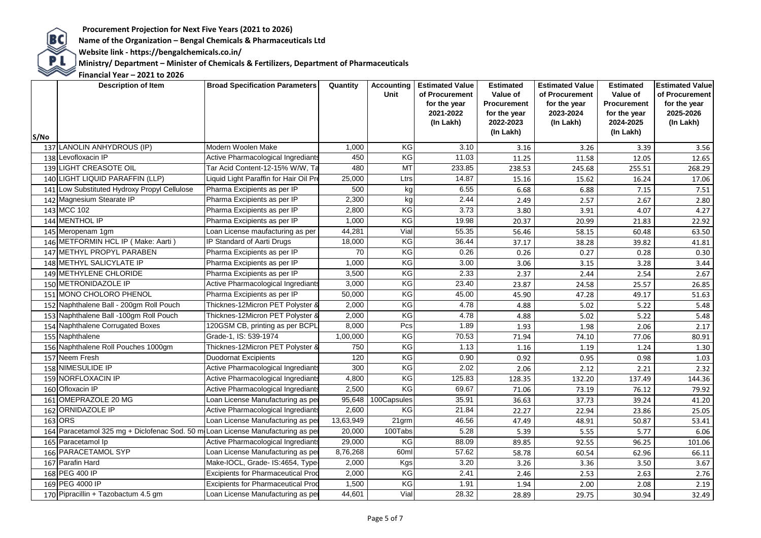**BC**<br>Name of the Organization – Bengal Chemicals & Pharmaceuticals Ltd<br>Website link - https://bengalchemicals.co.in/

 **Website link - https://bengalchemicals.co.in/**

**PL** Ministry/ Department – Minister of Chemicals & Fertilizers, Department of Pharmaceuticals<br>
Financial Year – 2021 to 2026

| S/No | <b>Description of Item</b>                     | <b>Broad Specification Parameters</b>     | Quantity  | <b>Accounting</b><br>Unit | <b>Estimated Value</b><br>of Procurement<br>for the year<br>2021-2022<br>(In Lakh) | <b>Estimated</b><br>Value of<br>Procurement<br>for the year<br>2022-2023<br>(In Lakh) | <b>Estimated Value</b><br>of Procurement<br>for the year<br>2023-2024<br>(In Lakh) | <b>Estimated</b><br>Value of<br>Procurement<br>for the year<br>2024-2025<br>(In Lakh) | <b>Estimated Value</b><br>of Procurement<br>for the year<br>2025-2026<br>(In Lakh) |
|------|------------------------------------------------|-------------------------------------------|-----------|---------------------------|------------------------------------------------------------------------------------|---------------------------------------------------------------------------------------|------------------------------------------------------------------------------------|---------------------------------------------------------------------------------------|------------------------------------------------------------------------------------|
|      | 137 LANOLIN ANHYDROUS (IP)                     | Modern Woolen Make                        | 1,000     | ΚG                        | 3.10                                                                               | 3.16                                                                                  | 3.26                                                                               | 3.39                                                                                  | 3.56                                                                               |
|      | 138 Levofloxacin IP                            | Active Pharmacological Ingrediants        | 450       | KG                        | 11.03                                                                              | 11.25                                                                                 | 11.58                                                                              | 12.05                                                                                 | 12.65                                                                              |
|      | 139 LIGHT CREASOTE OIL                         | Tar Acid Content-12-15% W/W, Ta           | 480       | MT                        | 233.85                                                                             | 238.53                                                                                | 245.68                                                                             | 255.51                                                                                | 268.29                                                                             |
|      | 140 LIGHT LIQUID PARAFFIN (LLP)                | Liquid Light Paraffin for Hair Oil Pre    | 25,000    | Ltrs                      | 14.87                                                                              | 15.16                                                                                 | 15.62                                                                              | 16.24                                                                                 | 17.06                                                                              |
|      | 141 Low Substituted Hydroxy Propyl Cellulose   | Pharma Excipients as per IP               | 500       | kg                        | 6.55                                                                               | 6.68                                                                                  | 6.88                                                                               | 7.15                                                                                  | 7.51                                                                               |
|      | 142 Magnesium Stearate IP                      | Pharma Excipients as per IP               | 2,300     | kg                        | 2.44                                                                               | 2.49                                                                                  | 2.57                                                                               | 2.67                                                                                  | 2.80                                                                               |
|      | 143 MCC 102                                    | Pharma Excipients as per IP               | 2,800     | KG                        | 3.73                                                                               | 3.80                                                                                  | 3.91                                                                               | 4.07                                                                                  | 4.27                                                                               |
|      | 144 MENTHOL IP                                 | Pharma Excipients as per IP               | 1,000     | KG                        | 19.98                                                                              | 20.37                                                                                 | 20.99                                                                              | 21.83                                                                                 | 22.92                                                                              |
|      | 145 Meropenam 1gm                              | Loan License maufacturing as per          | 44,281    | Vial                      | 55.35                                                                              | 56.46                                                                                 | 58.15                                                                              | 60.48                                                                                 | 63.50                                                                              |
|      | 146 METFORMIN HCL IP (Make: Aarti)             | IP Standard of Aarti Drugs                | 18,000    | KG                        | 36.44                                                                              | 37.17                                                                                 | 38.28                                                                              | 39.82                                                                                 | 41.81                                                                              |
|      | 147 METHYL PROPYL PARABEN                      | Pharma Excipients as per IP               | 70        | KG                        | 0.26                                                                               | 0.26                                                                                  | 0.27                                                                               | 0.28                                                                                  | 0.30                                                                               |
|      | 148 METHYL SALICYLATE IP                       | Pharma Excipients as per IP               | 1,000     | KG                        | 3.00                                                                               | 3.06                                                                                  | 3.15                                                                               | 3.28                                                                                  | 3.44                                                                               |
|      | 149 METHYLENE CHLORIDE                         | Pharma Excipients as per IP               | 3,500     | KG                        | 2.33                                                                               | 2.37                                                                                  | 2.44                                                                               | 2.54                                                                                  | 2.67                                                                               |
|      | 150 METRONIDAZOLE IP                           | Active Pharmacological Ingrediants        | 3,000     | KG                        | 23.40                                                                              | 23.87                                                                                 | 24.58                                                                              | 25.57                                                                                 | 26.85                                                                              |
|      | 151 MONO CHOLORO PHENOL                        | Pharma Excipients as per IP               | 50,000    | KG                        | 45.00                                                                              | 45.90                                                                                 | 47.28                                                                              | 49.17                                                                                 | 51.63                                                                              |
|      | 152 Naphthalene Ball - 200gm Roll Pouch        | Thicknes-12Micron PET Polyster &          | 2,000     | KG                        | 4.78                                                                               | 4.88                                                                                  | 5.02                                                                               | 5.22                                                                                  | 5.48                                                                               |
|      | 153 Naphthalene Ball -100gm Roll Pouch         | Thicknes-12Micron PET Polyster &          | 2,000     | KG                        | 4.78                                                                               | 4.88                                                                                  | 5.02                                                                               | 5.22                                                                                  | 5.48                                                                               |
|      | 154 Naphthalene Corrugated Boxes               | 120GSM CB, printing as per BCPL           | 8,000     | Pcs                       | 1.89                                                                               | 1.93                                                                                  | 1.98                                                                               | 2.06                                                                                  | 2.17                                                                               |
|      | 155 Naphthalene                                | Grade-1, IS: 539-1974                     | 1,00,000  | KG                        | 70.53                                                                              | 71.94                                                                                 | 74.10                                                                              | 77.06                                                                                 | 80.91                                                                              |
|      | 156 Naphthalene Roll Pouches 1000gm            | Thicknes-12Micron PET Polyster &          | 750       | KG                        | 1.13                                                                               | 1.16                                                                                  | 1.19                                                                               | 1.24                                                                                  | 1.30                                                                               |
|      | 157 Neem Fresh                                 | <b>Duodornat Excipients</b>               | 120       | KG                        | 0.90                                                                               | 0.92                                                                                  | 0.95                                                                               | 0.98                                                                                  | 1.03                                                                               |
|      | 158 NIMESULIDE IP                              | Active Pharmacological Ingrediants        | 300       | KG                        | 2.02                                                                               | 2.06                                                                                  | 2.12                                                                               | 2.21                                                                                  | 2.32                                                                               |
|      | 159 NORFLOXACIN IP                             | Active Pharmacological Ingrediants        | 4,800     | KG                        | 125.83                                                                             | 128.35                                                                                | 132.20                                                                             | 137.49                                                                                | 144.36                                                                             |
|      | 160 Ofloxacin IP                               | Active Pharmacological Ingrediants        | 2,500     | KG                        | 69.67                                                                              | 71.06                                                                                 | 73.19                                                                              | 76.12                                                                                 | 79.92                                                                              |
|      | 161 OMEPRAZOLE 20 MG                           | Loan License Manufacturing as per         | 95,648    | 100Capsules               | 35.91                                                                              | 36.63                                                                                 | 37.73                                                                              | 39.24                                                                                 | 41.20                                                                              |
|      | 162 ORNIDAZOLE IP                              | Active Pharmacological Ingrediants        | 2,600     | KG                        | 21.84                                                                              | 22.27                                                                                 | 22.94                                                                              | 23.86                                                                                 | 25.05                                                                              |
|      | 163 ORS                                        | Loan License Manufacturing as per         | 13,63,949 | 21grm                     | 46.56                                                                              | 47.49                                                                                 | 48.91                                                                              | 50.87                                                                                 | 53.41                                                                              |
|      | 164 Paracetamol 325 mg + Diclofenac Sod. 50 mg | Loan License Manufacturing as per         | 20,000    | 100Tabs                   | 5.28                                                                               | 5.39                                                                                  | 5.55                                                                               | 5.77                                                                                  | 6.06                                                                               |
|      | 165 Paracetamol Ip                             | Active Pharmacological Ingrediants        | 29,000    | KG                        | 88.09                                                                              | 89.85                                                                                 | 92.55                                                                              | 96.25                                                                                 | 101.06                                                                             |
|      | 166 PARACETAMOL SYP                            | Loan License Manufacturing as per         | 8,76,268  | 60ml                      | 57.62                                                                              | 58.78                                                                                 | 60.54                                                                              | 62.96                                                                                 | 66.11                                                                              |
|      | 167 Parafin Hard                               | Make-IOCL, Grade- IS:4654, Type-          | 2,000     | Kgs                       | 3.20                                                                               | 3.26                                                                                  | 3.36                                                                               | 3.50                                                                                  | 3.67                                                                               |
|      | 168 PEG 400 IP                                 | <b>Excipients for Pharmaceutical Prod</b> | 2,000     | KG                        | 2.41                                                                               | 2.46                                                                                  | 2.53                                                                               | 2.63                                                                                  | 2.76                                                                               |
|      | 169 PEG 4000 IP                                | <b>Excipients for Pharmaceutical Prod</b> | 1,500     | KG                        | 1.91                                                                               | 1.94                                                                                  | 2.00                                                                               | 2.08                                                                                  | 2.19                                                                               |
|      | 170 Pipracillin + Tazobactum 4.5 gm            | Loan License Manufacturing as per         | 44,601    | Vial                      | 28.32                                                                              | 28.89                                                                                 | 29.75                                                                              | 30.94                                                                                 | 32.49                                                                              |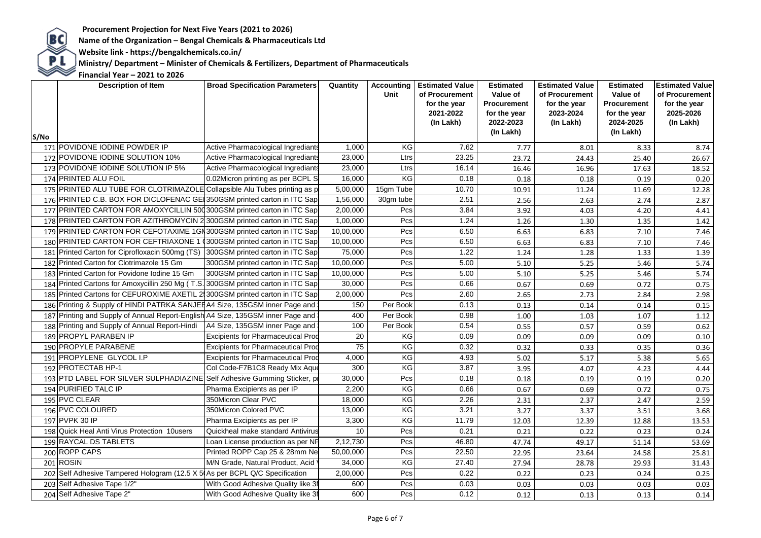**Website link - https://bengalchemicals.co.in/**

Procurement Projection for Next Five Years (2021 to 2026)<br>Name of the Organization – Bengal Chemicals & Pharmaceuticals Ltd<br>Website link - https://bengalchemicals.co.in/<br>Ministry/ Department – Minister of Chemicals & Ferti  **Ministry/ Department – Minister of Chemicals & Fertilizers, Department of Pharmaceuticals**

| S/No | <b>Description of Item</b>                                                        | <b>Broad Specification Parameters</b>     | Quantity  | Unit      | <b>Accounting   Estimated Value</b><br>of Procurement<br>for the year<br>2021-2022<br>(In Lakh) | <b>Estimated</b><br>Value of<br><b>Procurement</b><br>for the year<br>2022-2023<br>(In Lakh) | <b>Estimated Value</b><br>of Procurement<br>for the year<br>2023-2024<br>(In Lakh) | <b>Estimated</b><br>Value of<br>Procurement<br>for the year<br>2024-2025<br>(In Lakh) | <b>Estimated Value</b><br>of Procurement<br>for the year<br>2025-2026<br>(In Lakh) |
|------|-----------------------------------------------------------------------------------|-------------------------------------------|-----------|-----------|-------------------------------------------------------------------------------------------------|----------------------------------------------------------------------------------------------|------------------------------------------------------------------------------------|---------------------------------------------------------------------------------------|------------------------------------------------------------------------------------|
|      | 171 POVIDONE IODINE POWDER IP                                                     | Active Pharmacological Ingrediants        | 1,000     | ΚG        | 7.62                                                                                            | 7.77                                                                                         | 8.01                                                                               | 8.33                                                                                  | 8.74                                                                               |
|      | 172 POVIDONE IODINE SOLUTION 10%                                                  | Active Pharmacological Ingrediants        | 23,000    | Ltrs      | 23.25                                                                                           | 23.72                                                                                        | 24.43                                                                              | 25.40                                                                                 | 26.67                                                                              |
|      | 173 POVIDONE IODINE SOLUTION IP 5%                                                | Active Pharmacological Ingrediants        | 23,000    | Ltrs      | 16.14                                                                                           | 16.46                                                                                        | 16.96                                                                              | 17.63                                                                                 | 18.52                                                                              |
|      | 174 PRINTED ALU FOIL                                                              | 0.02Micron printing as per BCPL S         | 16,000    | KG        | 0.18                                                                                            | 0.18                                                                                         | 0.18                                                                               | 0.19                                                                                  | 0.20                                                                               |
|      | 175 PRINTED ALU TUBE FOR CLOTRIMAZOLE Collapsible Alu Tubes printing as p         |                                           | 5,00,000  | 15gm Tube | 10.70                                                                                           | 10.91                                                                                        | 11.24                                                                              | 11.69                                                                                 | 12.28                                                                              |
|      | 176 PRINTED C.B. BOX FOR DICLOFENAC GEI 350GSM printed carton in ITC Sap          |                                           | 1,56,000  | 30gm tube | 2.51                                                                                            | 2.56                                                                                         | 2.63                                                                               | 2.74                                                                                  | 2.87                                                                               |
|      | 177 PRINTED CARTON FOR AMOXYCILLIN 500300GSM printed carton in ITC Sap            |                                           | 2,00,000  | Pcs       | 3.84                                                                                            | 3.92                                                                                         | 4.03                                                                               | 4.20                                                                                  | 4.41                                                                               |
|      | 178 PRINTED CARTON FOR AZITHROMYCIN 2 300GSM printed carton in ITC Sap            |                                           | 1,00,000  | Pcs       | 1.24                                                                                            | 1.26                                                                                         | 1.30                                                                               | 1.35                                                                                  | 1.42                                                                               |
|      | 179 PRINTED CARTON FOR CEFOTAXIME 1GN 300GSM printed carton in ITC Sap            |                                           | 10,00,000 | Pcs       | 6.50                                                                                            | 6.63                                                                                         | 6.83                                                                               | 7.10                                                                                  | 7.46                                                                               |
|      | 180 PRINTED CARTON FOR CEFTRIAXONE 1 (300GSM printed carton in ITC Sap            |                                           | 10,00,000 | Pcs       | 6.50                                                                                            | 6.63                                                                                         | 6.83                                                                               | 7.10                                                                                  | 7.46                                                                               |
|      | 181 Printed Carton for Ciprofloxacin 500mg (TS) 300GSM printed carton in ITC Sap  |                                           | 75,000    | Pcs       | 1.22                                                                                            | 1.24                                                                                         | 1.28                                                                               | 1.33                                                                                  | 1.39                                                                               |
|      | 182 Printed Carton for Clotrimazole 15 Gm                                         | 300GSM printed carton in ITC Sap          | 10,00,000 | Pcs       | 5.00                                                                                            | 5.10                                                                                         | 5.25                                                                               | 5.46                                                                                  | 5.74                                                                               |
|      | 183 Printed Carton for Povidone Iodine 15 Gm                                      | 300GSM printed carton in ITC Sap          | 10,00,000 | Pcs       | 5.00                                                                                            | 5.10                                                                                         | 5.25                                                                               | 5.46                                                                                  | 5.74                                                                               |
|      | 184 Printed Cartons for Amoxycillin 250 Mg (T.S. 300GSM printed carton in ITC Sap |                                           | 30,000    | Pcs       | 0.66                                                                                            | 0.67                                                                                         | 0.69                                                                               | 0.72                                                                                  | 0.75                                                                               |
|      | 185 Printed Cartons for CEFUROXIME AXETIL 21300GSM printed carton in ITC Sap      |                                           | 2,00,000  | Pcs       | 2.60                                                                                            | 2.65                                                                                         | 2.73                                                                               | 2.84                                                                                  | 2.98                                                                               |
|      | 186 Printing & Supply of HINDI PATRKA SANJEDA4 Size, 135GSM inner Page and        |                                           | 150       | Per Book  | 0.13                                                                                            | 0.13                                                                                         | 0.14                                                                               | 0.14                                                                                  | 0.15                                                                               |
|      | 187 Printing and Supply of Annual Report-English A4 Size, 135GSM inner Page and   |                                           | 400       | Per Book  | 0.98                                                                                            | 1.00                                                                                         | 1.03                                                                               | 1.07                                                                                  | 1.12                                                                               |
|      | 188 Printing and Supply of Annual Report-Hindi                                    | A4 Size, 135GSM inner Page and            | 100       | Per Book  | 0.54                                                                                            | 0.55                                                                                         | 0.57                                                                               | 0.59                                                                                  | 0.62                                                                               |
|      | 189 PROPYL PARABEN IP                                                             | <b>Excipients for Pharmaceutical Prod</b> | 20        | ΚG        | 0.09                                                                                            | 0.09                                                                                         | 0.09                                                                               | 0.09                                                                                  | 0.10                                                                               |
|      | 190 PROPYLE PARABENE                                                              | <b>Excipients for Pharmaceutical Prod</b> | 75        | KG        | 0.32                                                                                            | 0.32                                                                                         | 0.33                                                                               | 0.35                                                                                  | 0.36                                                                               |
|      | 191 PROPYLENE GLYCOL I.P                                                          | <b>Excipients for Pharmaceutical Prod</b> | 4,000     | KG        | 4.93                                                                                            | 5.02                                                                                         | 5.17                                                                               | 5.38                                                                                  | 5.65                                                                               |
|      | 192 PROTECTAB HP-1                                                                | Col Code-F7B1C8 Ready Mix Aque            | 300       | KG        | 3.87                                                                                            | 3.95                                                                                         | 4.07                                                                               | 4.23                                                                                  | 4.44                                                                               |
|      | 193 PTD LABEL FOR SILVER SULPHADIAZINE Self Adhesive Gumming Sticker, p.          |                                           | 30,000    | Pcs       | 0.18                                                                                            | 0.18                                                                                         | 0.19                                                                               | 0.19                                                                                  | 0.20                                                                               |
|      | 194 PURIFIED TALC IP                                                              | Pharma Excipients as per IP               | 2,200     | KG        | 0.66                                                                                            | 0.67                                                                                         | 0.69                                                                               | 0.72                                                                                  | 0.75                                                                               |
|      | 195 PVC CLEAR                                                                     | 350Micron Clear PVC                       | 18,000    | KG        | 2.26                                                                                            | 2.31                                                                                         | 2.37                                                                               | 2.47                                                                                  | 2.59                                                                               |
|      | 196 PVC COLOURED                                                                  | 350Micron Colored PVC                     | 13,000    | KG        | 3.21                                                                                            | 3.27                                                                                         | 3.37                                                                               | 3.51                                                                                  | 3.68                                                                               |
|      | 197 PVPK 30 IP                                                                    | Pharma Excipients as per IP               | 3,300     | KG        | 11.79                                                                                           | 12.03                                                                                        | 12.39                                                                              | 12.88                                                                                 | 13.53                                                                              |
|      | 198 Quick Heal Anti Virus Protection 10users                                      | Quickheal make standard Antivirus         | 10        | Pcs       | 0.21                                                                                            | 0.21                                                                                         | 0.22                                                                               | 0.23                                                                                  | 0.24                                                                               |
|      | 199 RAYCAL DS TABLETS                                                             | Loan License production as per NP         | 2,12,730  | Pcs       | 46.80                                                                                           | 47.74                                                                                        | 49.17                                                                              | 51.14                                                                                 | 53.69                                                                              |
|      | 200 ROPP CAPS                                                                     | Printed ROPP Cap 25 & 28mm Ne             | 50,00,000 | Pcs       | 22.50                                                                                           | 22.95                                                                                        | 23.64                                                                              | 24.58                                                                                 | 25.81                                                                              |
|      | 201 ROSIN                                                                         | M/N Grade, Natural Product, Acid          | 34,000    | KG        | 27.40                                                                                           | 27.94                                                                                        | 28.78                                                                              | 29.93                                                                                 | 31.43                                                                              |
|      | 202 Self Adhesive Tampered Hologram (12.5 X 5 As per BCPL Q/C Specification       |                                           | 2,00,000  | Pcs       | 0.22                                                                                            | 0.22                                                                                         | 0.23                                                                               | 0.24                                                                                  | 0.25                                                                               |
|      | 203 Self Adhesive Tape 1/2"                                                       | With Good Adhesive Quality like 3         | 600       | Pcs       | 0.03                                                                                            | 0.03                                                                                         | 0.03                                                                               | 0.03                                                                                  | 0.03                                                                               |
|      | 204 Self Adhesive Tape 2"                                                         | With Good Adhesive Quality like 3I        | 600       | Pcs       | 0.12                                                                                            | 0.12                                                                                         | 0.13                                                                               | 0.13                                                                                  | 0.14                                                                               |